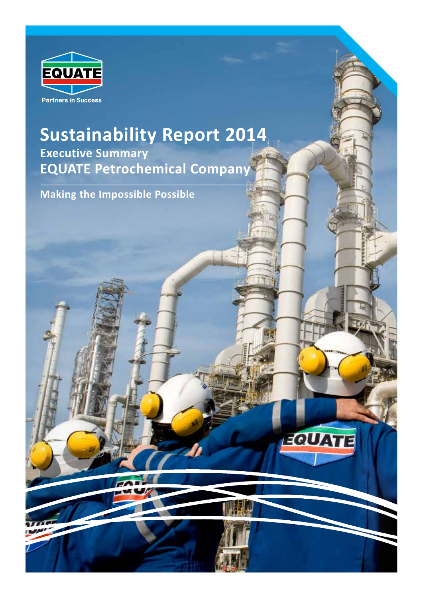

### **Sustainability Report 2014 Executive Summary EQUATE Petrochemical Company**

EQUATE

**Making the Impossible Possible**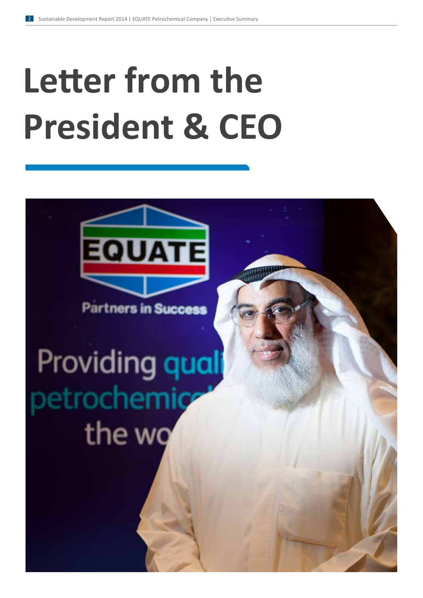# **Letter from the President & CEO**



**Partners in Success** 

## Providing qual betrochemic the wq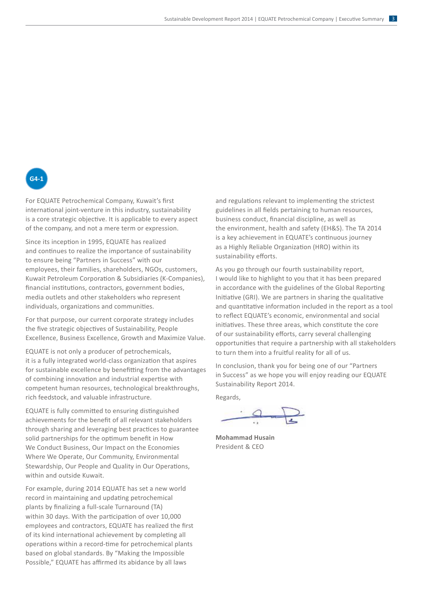### **G4-1**

For EQUATE Petrochemical Company, Kuwait's first  $\frac{1}{2}$  international joint-venture in this industry, sustainability is a core strategic objective. It is applicable to every aspect of the company, and not a mere term or expression.

Since its inception in 1995, EQUATE has realized and continues to realize the importance of sustainability and continues to realize the importance of sustainability and commues to reanze the importance or sustainability<br>to ensure being "Partners in Success" with our to ensure being Trantiers in Success With our<br>employees, their families, shareholders, NGOs, customers, emproyees, their families, shareholders, NGOs, easterners, Kuwait Petroleum Corporation & Subsidiaries (K-Companies), mancial institutions, contractors, government bodies, media outlets and other stakeholders who represent individuals, organizations and communities.

For that purpose, our current corporate strategy includes the five strategic objectives of Sustainability, People Excellence, Business Excellence, Growth and Maximize Value.

EQUATE is not only a producer of petrochemicals, it is a fully integrated world-class organization that aspires for sustainable excellence by benefitting from the advantages of combining innovation and industrial expertise with competent human resources, technological breakthroughs, rich feedstock, and valuable infrastructure.

EQUATE is fully committed to ensuring distinguished expansion is rangelemented to ensuring distinguished<br>achievements for the benefit of all relevant stakeholders demevements for the senem of an refevant stakeholders solid partnerships for the optimum benefit in How We Conduct Business, Our Impact on the Economies Where We Operate, Our Community, Environmental Stewardship, Our People and Quality in Our Operations, within and outside Kuwait.

For example, during 2014 EQUATE has set a new world record in maintaining and updating petrochemical plants by finalizing a full-scale Turnaround (TA) within 30 days. With the participation of over 10,000 employees and contractors, EQUATE has realized the first of its kind international achievement by completing all operations within a record-time for petrochemical plants based on global standards. By "Making the Impossible Possible," EQUATE has affirmed its abidance by all laws

and regulations relevant to implementing the strictest guidelines in all fields pertaining to human resources,<br>| business conduct, financial discipline, as well as business conduct, infancial discipline, as well as<br>the environment, health and safety (EH&S). The TA 2014 Inc environment, nearly and safety (LTRS). The TAIZC<br>is a key achievement in EQUATE's continuous journey as a Righly Reliable Organization (HRO) within its suppliers, and it is a Highly Reliable Organization (HRO) within its as a mgmy nemasie organization (me) with sustainability efforts.  $\alpha$  statistical statistical statistical statistical statistical statistical statistical statistical statistical statistical statistical statistical statistical statistical statistical statistical statistical statistical

As you go through our fourth sustainability report, I would like to highlight to you that it has been prepared in accordance with the guidelines of the Global Reporting Initiative (GRI). We are partners in sharing the qualitative and quantitative information included in the report as a tool to reflect EQUATE's economic, environmental and social to renect EQOATE's economic, environmental and social<br>initiatives. These three areas, which constitute the core minanves. These three areas, which constitute the co<br>of our sustainability efforts, carry several challenging or our sustainability enorts, carry several chanenging<br>opportunities that require a partnership with all stakeholders to turn them into a fruitful reality for all of us. s you go through our fourth sustainabilit<sup>.</sup>

In conclusion, thank you for being one of our "Partners in Success" as we hope you will enjoy reading our EQUATE Sustainability Report 2014.

Regards,

**Mohammad Husain** President & CEO **Mohammad Husain**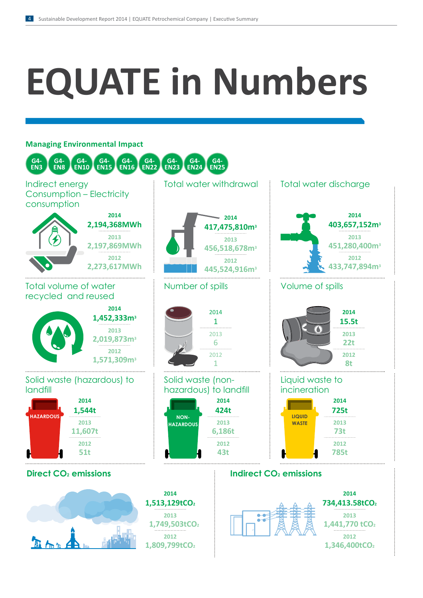# **EQUATE in Numbers**

#### **Managing Environmental Impact**



**1,809,799tCO2**

**1,346,400tCO2**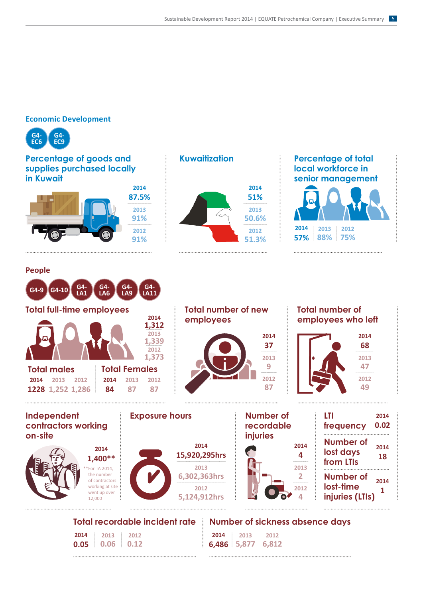#### **Economic Development**



**People**

**G4-9 G4-10 G4-**

#### **Percentage of goods and supplies purchased locally in Kuwait**

**2014 87.5% 2012 91% 2013 91%**

**LA1**

**G4- LA6** **G4- LA9**

**G4- LA11**



#### **Percentage of total local workforce in senior management**



**2014 0.02**

**2014 18**

**2014 1**

. . . . . . . . . . . .

#### **Total full-time employees Total number of new Total number of 2014 employees employees who left 1,312 2013 2014 2014 1,33937 68 2012 1,373 2013 2013 9 47 Total males Total Females 2012 2012 2014 2013 2012 2014 2013 2012 87 49 1228 1,252 1,286 84 87 87 Independent Exposure hours Number of LTI contractors working recordable frequency** . . . . . . . . . . . . . . . .

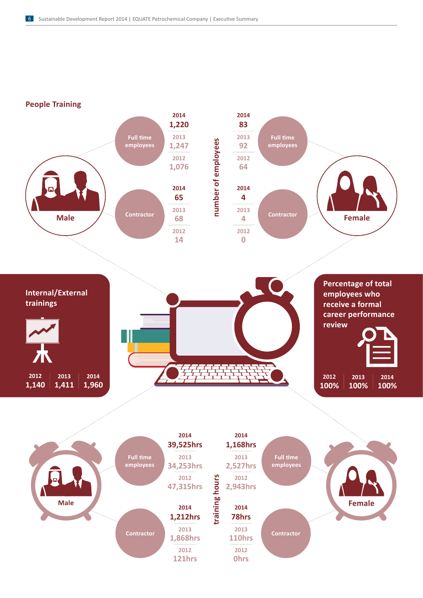**People Training**



**121hrs**

**0hrs**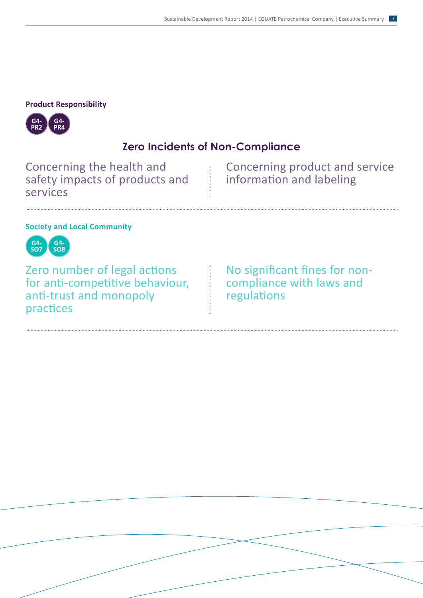#### **Product Responsibility**



#### **Zero Incidents of Non-Compliance**

Concerning the health and safety impacts of products and services

Concerning product and service information and labeling

#### **Society and Local Community**



Zero number of legal actions for anti-competitive behaviour, anti-trust and monopoly practices

No significant fines for noncompliance with laws and regulations